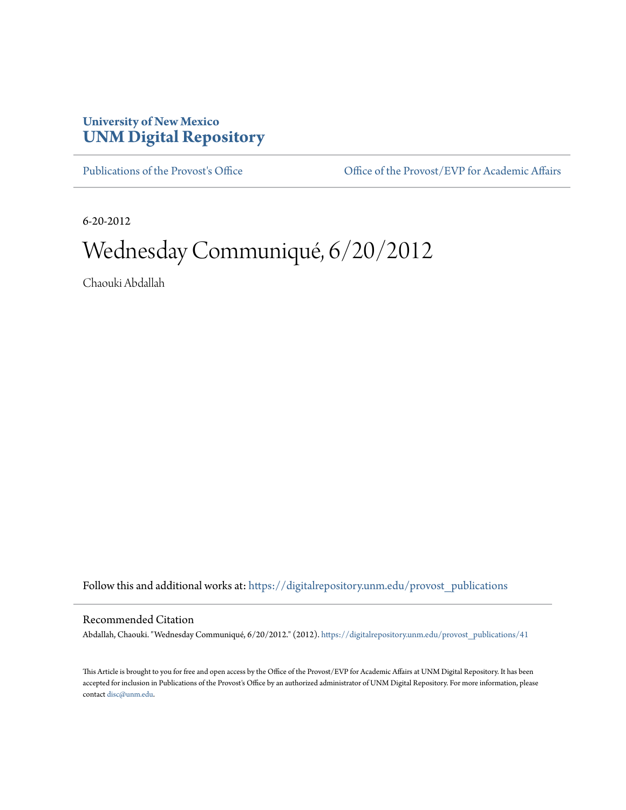## **University of New Mexico [UNM Digital Repository](https://digitalrepository.unm.edu?utm_source=digitalrepository.unm.edu%2Fprovost_publications%2F41&utm_medium=PDF&utm_campaign=PDFCoverPages)**

[Publications of the Provost's Office](https://digitalrepository.unm.edu/provost_publications?utm_source=digitalrepository.unm.edu%2Fprovost_publications%2F41&utm_medium=PDF&utm_campaign=PDFCoverPages) Office [Office of the Provost/EVP for Academic Affairs](https://digitalrepository.unm.edu/ofc_provost?utm_source=digitalrepository.unm.edu%2Fprovost_publications%2F41&utm_medium=PDF&utm_campaign=PDFCoverPages)

6-20-2012

# Wednesday Communiqué, 6/20/2012

Chaouki Abdallah

Follow this and additional works at: [https://digitalrepository.unm.edu/provost\\_publications](https://digitalrepository.unm.edu/provost_publications?utm_source=digitalrepository.unm.edu%2Fprovost_publications%2F41&utm_medium=PDF&utm_campaign=PDFCoverPages)

#### Recommended Citation

Abdallah, Chaouki. "Wednesday Communiqué, 6/20/2012." (2012). [https://digitalrepository.unm.edu/provost\\_publications/41](https://digitalrepository.unm.edu/provost_publications/41?utm_source=digitalrepository.unm.edu%2Fprovost_publications%2F41&utm_medium=PDF&utm_campaign=PDFCoverPages)

This Article is brought to you for free and open access by the Office of the Provost/EVP for Academic Affairs at UNM Digital Repository. It has been accepted for inclusion in Publications of the Provost's Office by an authorized administrator of UNM Digital Repository. For more information, please contact [disc@unm.edu.](mailto:disc@unm.edu)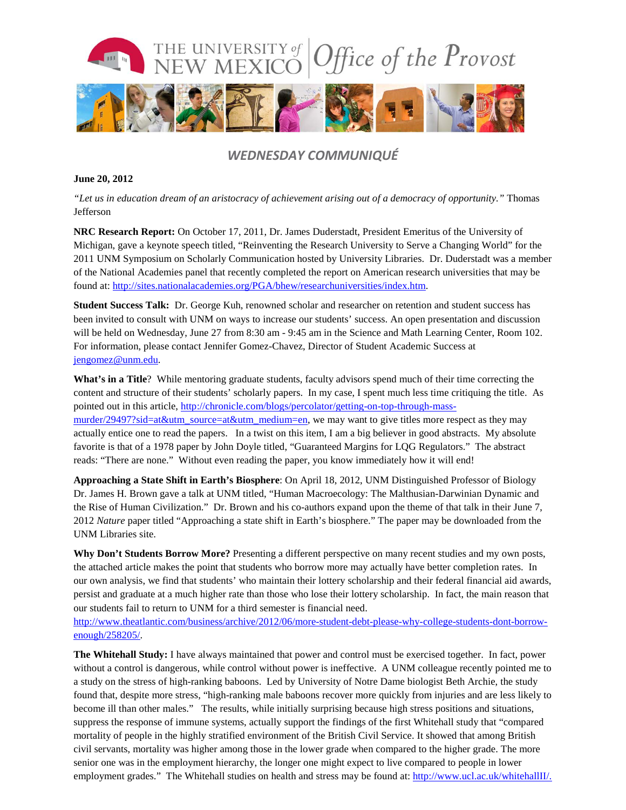

### *WEDNESDAY COMMUNIQUÉ*

#### **June 20, 2012**

*"Let us in education dream of an aristocracy of achievement arising out of a democracy of opportunity."* Thomas Jefferson

**NRC Research Report:** On October 17, 2011, Dr. James Duderstadt, President Emeritus of the University of Michigan, gave a keynote speech titled, "Reinventing the Research University to Serve a Changing World" for the 2011 UNM Symposium on Scholarly Communication hosted by University Libraries. Dr. Duderstadt was a member of the National Academies panel that recently completed the report on American research universities that may be found at: [http://sites.nationalacademies.org/PGA/bhew/researchuniversities/index.htm.](http://sites.nationalacademies.org/PGA/bhew/researchuniversities/index.htm)

**Student Success Talk:** Dr. George Kuh, renowned scholar and researcher on retention and student success has been invited to consult with UNM on ways to increase our students' success. An open presentation and discussion will be held on Wednesday, June 27 from 8:30 am - 9:45 am in the Science and Math Learning Center, Room 102. For information, please contact Jennifer Gomez-Chavez, Director of Student Academic Success at [jengomez@unm.edu.](mailto:jengomez@unm.edu)

**What's in a Title**? While mentoring graduate students, faculty advisors spend much of their time correcting the content and structure of their students' scholarly papers. In my case, I spent much less time critiquing the title. As pointed out in this article, [http://chronicle.com/blogs/percolator/getting-on-top-through-mass](http://chronicle.com/blogs/percolator/getting-on-top-through-mass-murder/29497?sid=at&utm_source=at&utm_medium=en)[murder/29497?sid=at&utm\\_source=at&utm\\_medium=en,](http://chronicle.com/blogs/percolator/getting-on-top-through-mass-murder/29497?sid=at&utm_source=at&utm_medium=en) we may want to give titles more respect as they may actually entice one to read the papers. In a twist on this item, I am a big believer in good abstracts. My absolute favorite is that of a 1978 paper by John Doyle titled, "Guaranteed Margins for LQG Regulators." The abstract reads: "There are none." Without even reading the paper, you know immediately how it will end!

**Approaching a State Shift in Earth's Biosphere**: On April 18, 2012, UNM Distinguished Professor of Biology Dr. James H. Brown gave a talk at UNM titled, "Human Macroecology: The Malthusian-Darwinian Dynamic and the Rise of Human Civilization." Dr. Brown and his co-authors expand upon the theme of that talk in their June 7, 2012 *Nature* paper titled "Approaching a state shift in Earth's biosphere." The paper may be downloaded from the UNM Libraries site.

**Why Don't Students Borrow More?** Presenting a different perspective on many recent studies and my own posts, the attached article makes the point that students who borrow more may actually have better completion rates. In our own analysis, we find that students' who maintain their lottery scholarship and their federal financial aid awards, persist and graduate at a much higher rate than those who lose their lottery scholarship. In fact, the main reason that our students fail to return to UNM for a third semester is financial need.

[http://www.theatlantic.com/business/archive/2012/06/more-student-debt-please-why-college-students-dont-borrow](http://www.theatlantic.com/business/archive/2012/06/more-student-debt-please-why-college-students-dont-borrow-enough/258205/)[enough/258205/.](http://www.theatlantic.com/business/archive/2012/06/more-student-debt-please-why-college-students-dont-borrow-enough/258205/)

**The Whitehall Study:** I have always maintained that power and control must be exercised together. In fact, power without a control is dangerous, while control without power is ineffective. A UNM colleague recently pointed me to a study on the stress of high-ranking baboons. Led by University of Notre Dame biologist Beth Archie, the study found that, despite more stress, "high-ranking male baboons recover more quickly from injuries and are less likely to become ill than other males." The results, while initially surprising because high stress positions and situations, suppress the response of immune systems, actually support the findings of the first Whitehall study that "compared mortality of people in the highly stratified environment of the British Civil Service. It showed that among British civil servants, mortality was higher among those in the lower grade when compared to the higher grade. The more senior one was in the employment hierarchy, the longer one might expect to live compared to people in lower employment grades." The Whitehall studies on health and stress may be found at: [http://www.ucl.ac.uk/whitehallII/.](http://www.ucl.ac.uk/whitehallII/)